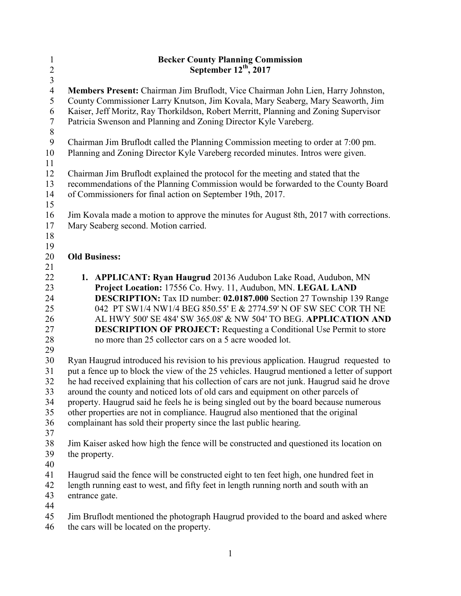| $\mathbf{1}$     | <b>Becker County Planning Commission</b>                                                   |
|------------------|--------------------------------------------------------------------------------------------|
| $\overline{c}$   | September $12^{th}$ , 2017                                                                 |
| $\overline{3}$   |                                                                                            |
| $\overline{4}$   | Members Present: Chairman Jim Bruflodt, Vice Chairman John Lien, Harry Johnston,           |
| 5                | County Commissioner Larry Knutson, Jim Kovala, Mary Seaberg, Mary Seaworth, Jim            |
| 6                | Kaiser, Jeff Moritz, Ray Thorkildson, Robert Merritt, Planning and Zoning Supervisor       |
| $\overline{7}$   | Patricia Swenson and Planning and Zoning Director Kyle Vareberg.                           |
| $\, 8$           |                                                                                            |
| $\boldsymbol{9}$ | Chairman Jim Bruflodt called the Planning Commission meeting to order at 7:00 pm.          |
| 10               | Planning and Zoning Director Kyle Vareberg recorded minutes. Intros were given.            |
| 11               |                                                                                            |
| 12               | Chairman Jim Bruflodt explained the protocol for the meeting and stated that the           |
| 13               | recommendations of the Planning Commission would be forwarded to the County Board          |
| 14               | of Commissioners for final action on September 19th, 2017.                                 |
| 15               |                                                                                            |
| 16               | Jim Kovala made a motion to approve the minutes for August 8th, 2017 with corrections.     |
| 17               | Mary Seaberg second. Motion carried.                                                       |
| 18               |                                                                                            |
| 19               |                                                                                            |
| 20               | <b>Old Business:</b>                                                                       |
| 21               |                                                                                            |
| 22               | 1. APPLICANT: Ryan Haugrud 20136 Audubon Lake Road, Audubon, MN                            |
| 23               | Project Location: 17556 Co. Hwy. 11, Audubon, MN. LEGAL LAND                               |
| 24               | <b>DESCRIPTION:</b> Tax ID number: 02.0187.000 Section 27 Township 139 Range               |
| 25               | 042 PT SW1/4 NW1/4 BEG 850.55' E & 2774.59' N OF SW SEC COR TH NE                          |
| 26               | AL HWY 500' SE 484' SW 365.08' & NW 504' TO BEG. APPLICATION AND                           |
| 27               | <b>DESCRIPTION OF PROJECT:</b> Requesting a Conditional Use Permit to store                |
| 28               | no more than 25 collector cars on a 5 acre wooded lot.                                     |
| 29               |                                                                                            |
| 30               | Ryan Haugrud introduced his revision to his previous application. Haugrud requested to     |
| 31               | put a fence up to block the view of the 25 vehicles. Haugrud mentioned a letter of support |
| 32               | he had received explaining that his collection of cars are not junk. Haugrud said he drove |
| 33               | around the county and noticed lots of old cars and equipment on other parcels of           |
| 34               | property. Haugrud said he feels he is being singled out by the board because numerous      |
| 35               | other properties are not in compliance. Haugrud also mentioned that the original           |
| 36               | complainant has sold their property since the last public hearing.                         |
| 37               |                                                                                            |
| 38               | Jim Kaiser asked how high the fence will be constructed and questioned its location on     |
| 39               | the property.                                                                              |
|                  |                                                                                            |
| 40               |                                                                                            |
| 41               | Haugrud said the fence will be constructed eight to ten feet high, one hundred feet in     |
| 42               | length running east to west, and fifty feet in length running north and south with an      |
| 43               | entrance gate.                                                                             |
| 44               |                                                                                            |
| 45               | Jim Bruflodt mentioned the photograph Haugrud provided to the board and asked where        |
| 46               | the cars will be located on the property.                                                  |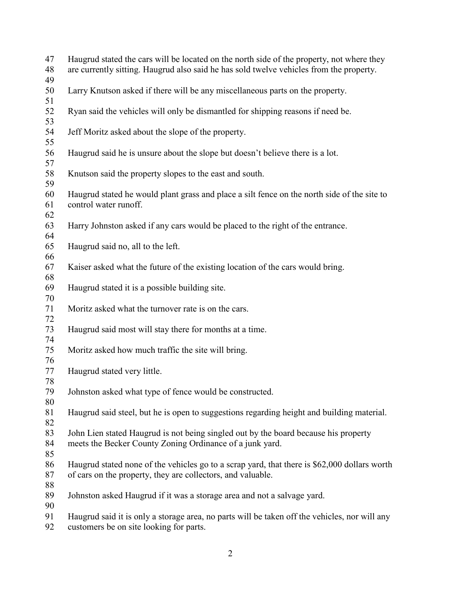| 47<br>48<br>49 | Haugrud stated the cars will be located on the north side of the property, not where they<br>are currently sitting. Haugrud also said he has sold twelve vehicles from the property. |
|----------------|--------------------------------------------------------------------------------------------------------------------------------------------------------------------------------------|
| 50<br>51       | Larry Knutson asked if there will be any miscellaneous parts on the property.                                                                                                        |
| 52<br>53       | Ryan said the vehicles will only be dismantled for shipping reasons if need be.                                                                                                      |
| 54<br>55       | Jeff Moritz asked about the slope of the property.                                                                                                                                   |
| 56<br>57       | Haugrud said he is unsure about the slope but doesn't believe there is a lot.                                                                                                        |
| 58<br>59       | Knutson said the property slopes to the east and south.                                                                                                                              |
| 60<br>61<br>62 | Haugrud stated he would plant grass and place a silt fence on the north side of the site to<br>control water runoff.                                                                 |
| 63<br>64       | Harry Johnston asked if any cars would be placed to the right of the entrance.                                                                                                       |
| 65<br>66       | Haugrud said no, all to the left.                                                                                                                                                    |
| 67<br>68       | Kaiser asked what the future of the existing location of the cars would bring.                                                                                                       |
| 69<br>70       | Haugrud stated it is a possible building site.                                                                                                                                       |
| 71<br>72       | Moritz asked what the turnover rate is on the cars.                                                                                                                                  |
| 73<br>74       | Haugrud said most will stay there for months at a time.                                                                                                                              |
| 75<br>76       | Moritz asked how much traffic the site will bring.                                                                                                                                   |
| 77<br>78       | Haugrud stated very little.                                                                                                                                                          |
| 79<br>80       | Johnston asked what type of fence would be constructed.                                                                                                                              |
| 81<br>82       | Haugrud said steel, but he is open to suggestions regarding height and building material.                                                                                            |
| 83<br>84<br>85 | John Lien stated Haugrud is not being singled out by the board because his property<br>meets the Becker County Zoning Ordinance of a junk yard.                                      |
| 86<br>87<br>88 | Haugrud stated none of the vehicles go to a scrap yard, that there is \$62,000 dollars worth<br>of cars on the property, they are collectors, and valuable.                          |
| 89<br>90       | Johnston asked Haugrud if it was a storage area and not a salvage yard.                                                                                                              |
| 91             | Haugrud said it is only a storage area, no parts will be taken off the vehicles, nor will any                                                                                        |

customers be on site looking for parts.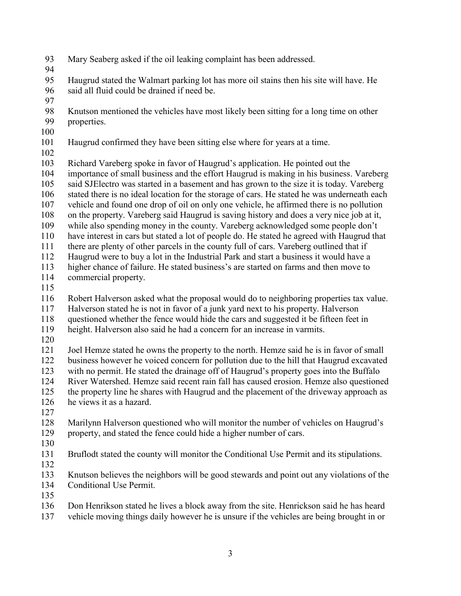- Mary Seaberg asked if the oil leaking complaint has been addressed.
- 

 Haugrud stated the Walmart parking lot has more oil stains then his site will have. He said all fluid could be drained if need be.

- 
- Knutson mentioned the vehicles have most likely been sitting for a long time on other properties.
- 
- Haugrud confirmed they have been sitting else where for years at a time.
- 

Richard Vareberg spoke in favor of Haugrud's application. He pointed out the

- importance of small business and the effort Haugrud is making in his business. Vareberg
- said SJElectro was started in a basement and has grown to the size it is today. Vareberg
- stated there is no ideal location for the storage of cars. He stated he was underneath each
- vehicle and found one drop of oil on only one vehicle, he affirmed there is no pollution
- on the property. Vareberg said Haugrud is saving history and does a very nice job at it,
- while also spending money in the county. Vareberg acknowledged some people don't
- have interest in cars but stated a lot of people do. He stated he agreed with Haugrud that
- there are plenty of other parcels in the county full of cars. Vareberg outlined that if
- Haugrud were to buy a lot in the Industrial Park and start a business it would have a higher chance of failure. He stated business's are started on farms and then move to
- commercial property.
- 
- Robert Halverson asked what the proposal would do to neighboring properties tax value.
- Halverson stated he is not in favor of a junk yard next to his property. Halverson
- questioned whether the fence would hide the cars and suggested it be fifteen feet in
- height. Halverson also said he had a concern for an increase in varmits.
- 

 Joel Hemze stated he owns the property to the north. Hemze said he is in favor of small business however he voiced concern for pollution due to the hill that Haugrud excavated with no permit. He stated the drainage off of Haugrud's property goes into the Buffalo River Watershed. Hemze said recent rain fall has caused erosion. Hemze also questioned the property line he shares with Haugrud and the placement of the driveway approach as he views it as a hazard.

- 
- Marilynn Halverson questioned who will monitor the number of vehicles on Haugrud's property, and stated the fence could hide a higher number of cars.
- 
- Bruflodt stated the county will monitor the Conditional Use Permit and its stipulations.
- 
- Knutson believes the neighbors will be good stewards and point out any violations of the Conditional Use Permit.
- 
- Don Henrikson stated he lives a block away from the site. Henrickson said he has heard
- vehicle moving things daily however he is unsure if the vehicles are being brought in or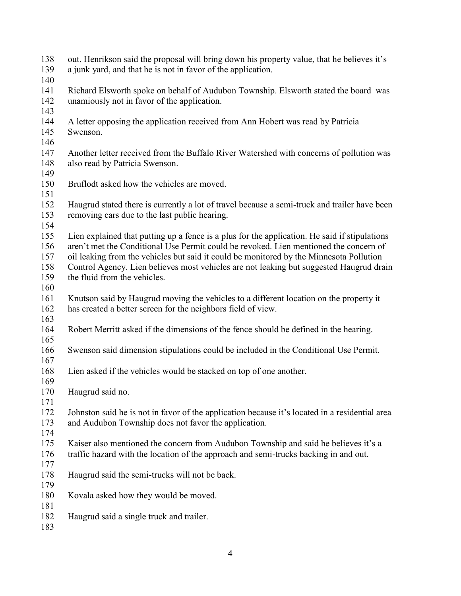| out. Henrikson said the proposal will bring down his property value, that he believes it's<br>a junk yard, and that he is not in favor of the application.                             |
|----------------------------------------------------------------------------------------------------------------------------------------------------------------------------------------|
|                                                                                                                                                                                        |
| Richard Elsworth spoke on behalf of Audubon Township. Elsworth stated the board was<br>unamiously not in favor of the application.                                                     |
|                                                                                                                                                                                        |
| A letter opposing the application received from Ann Hobert was read by Patricia<br>Swenson.                                                                                            |
|                                                                                                                                                                                        |
| Another letter received from the Buffalo River Watershed with concerns of pollution was<br>also read by Patricia Swenson.                                                              |
|                                                                                                                                                                                        |
| Bruflodt asked how the vehicles are moved.                                                                                                                                             |
| Haugrud stated there is currently a lot of travel because a semi-truck and trailer have been<br>removing cars due to the last public hearing.                                          |
| Lien explained that putting up a fence is a plus for the application. He said if stipulations<br>aren't met the Conditional Use Permit could be revoked. Lien mentioned the concern of |
| oil leaking from the vehicles but said it could be monitored by the Minnesota Pollution                                                                                                |
| Control Agency. Lien believes most vehicles are not leaking but suggested Haugrud drain                                                                                                |
| the fluid from the vehicles.                                                                                                                                                           |
|                                                                                                                                                                                        |
| Knutson said by Haugrud moving the vehicles to a different location on the property it                                                                                                 |
| has created a better screen for the neighbors field of view.                                                                                                                           |
| Robert Merritt asked if the dimensions of the fence should be defined in the hearing.                                                                                                  |
|                                                                                                                                                                                        |
| Swenson said dimension stipulations could be included in the Conditional Use Permit.                                                                                                   |
|                                                                                                                                                                                        |
|                                                                                                                                                                                        |
| Lien asked if the vehicles would be stacked on top of one another.                                                                                                                     |
|                                                                                                                                                                                        |
| Haugrud said no.                                                                                                                                                                       |
|                                                                                                                                                                                        |
| Johnston said he is not in favor of the application because it's located in a residential area                                                                                         |
| and Audubon Township does not favor the application.                                                                                                                                   |
|                                                                                                                                                                                        |
| Kaiser also mentioned the concern from Audubon Township and said he believes it's a                                                                                                    |
| traffic hazard with the location of the approach and semi-trucks backing in and out.                                                                                                   |
|                                                                                                                                                                                        |
| Haugrud said the semi-trucks will not be back.                                                                                                                                         |
|                                                                                                                                                                                        |
| Kovala asked how they would be moved.                                                                                                                                                  |
|                                                                                                                                                                                        |
| Haugrud said a single truck and trailer.                                                                                                                                               |
|                                                                                                                                                                                        |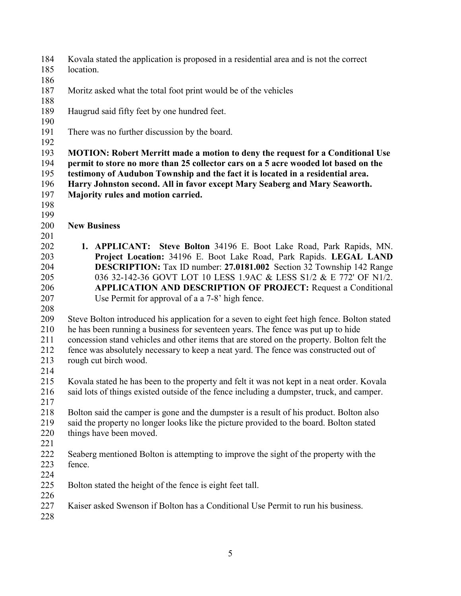- Kovala stated the application is proposed in a residential area and is not the correct
- location.
- Moritz asked what the total foot print would be of the vehicles
- 
- Haugrud said fifty feet by one hundred feet.
- 
- There was no further discussion by the board.
- 

 **MOTION: Robert Merritt made a motion to deny the request for a Conditional Use permit to store no more than 25 collector cars on a 5 acre wooded lot based on the testimony of Audubon Township and the fact it is located in a residential area. Harry Johnston second. All in favor except Mary Seaberg and Mary Seaworth. Majority rules and motion carried.** 

- 
- 
- **New Business**
- - **1. APPLICANT: Steve Bolton** 34196 E. Boot Lake Road, Park Rapids, MN. **Project Location:** 34196 E. Boot Lake Road, Park Rapids. **LEGAL LAND DESCRIPTION:** Tax ID number: **27.0181.002** Section 32 Township 142 Range 036 32-142-36 GOVT LOT 10 LESS 1.9AC & LESS S1/2 & E 772' OF N1/2. **APPLICATION AND DESCRIPTION OF PROJECT:** Request a Conditional Use Permit for approval of a a 7-8' high fence.
	-

 Steve Bolton introduced his application for a seven to eight feet high fence. Bolton stated he has been running a business for seventeen years. The fence was put up to hide concession stand vehicles and other items that are stored on the property. Bolton felt the fence was absolutely necessary to keep a neat yard. The fence was constructed out of rough cut birch wood.

 Kovala stated he has been to the property and felt it was not kept in a neat order. Kovala said lots of things existed outside of the fence including a dumpster, truck, and camper.

- Bolton said the camper is gone and the dumpster is a result of his product. Bolton also said the property no longer looks like the picture provided to the board. Bolton stated
- things have been moved.
- 
- Seaberg mentioned Bolton is attempting to improve the sight of the property with the fence.
- 
- Bolton stated the height of the fence is eight feet tall.
- Kaiser asked Swenson if Bolton has a Conditional Use Permit to run his business.
-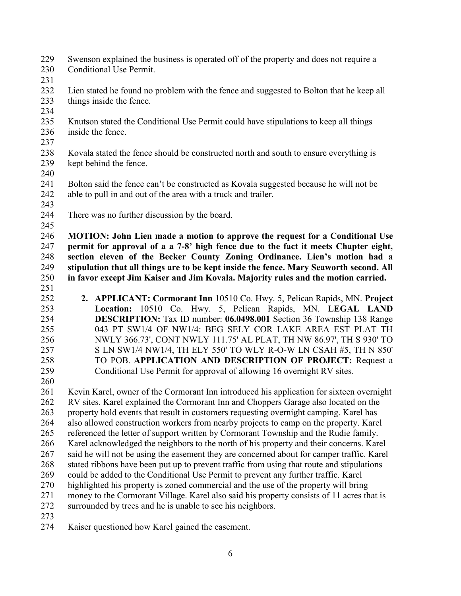- Swenson explained the business is operated off of the property and does not require a Conditional Use Permit.
- 
- Lien stated he found no problem with the fence and suggested to Bolton that he keep all things inside the fence.
- 
- Knutson stated the Conditional Use Permit could have stipulations to keep all things inside the fence.
- Kovala stated the fence should be constructed north and south to ensure everything is kept behind the fence.
- 
- Bolton said the fence can't be constructed as Kovala suggested because he will not be able to pull in and out of the area with a truck and trailer.
- 
- There was no further discussion by the board.

 **MOTION: John Lien made a motion to approve the request for a Conditional Use permit for approval of a a 7-8' high fence due to the fact it meets Chapter eight, section eleven of the Becker County Zoning Ordinance. Lien's motion had a stipulation that all things are to be kept inside the fence. Mary Seaworth second. All in favor except Jim Kaiser and Jim Kovala. Majority rules and the motion carried.** 

- 
- **2. APPLICANT: Cormorant Inn** 10510 Co. Hwy. 5, Pelican Rapids, MN. **Project Location:** 10510 Co. Hwy. 5, Pelican Rapids, MN. **LEGAL LAND DESCRIPTION:** Tax ID number: **06.0498.001** Section 36 Township 138 Range 043 PT SW1/4 OF NW1/4: BEG SELY COR LAKE AREA EST PLAT TH NWLY 366.73', CONT NWLY 111.75' AL PLAT, TH NW 86.97', TH S 930' TO S LN SW1/4 NW1/4, TH ELY 550' TO WLY R-O-W LN CSAH #5, TH N 850' TO POB. **APPLICATION AND DESCRIPTION OF PROJECT:** Request a Conditional Use Permit for approval of allowing 16 overnight RV sites.
- 

 Kevin Karel, owner of the Cormorant Inn introduced his application for sixteen overnight RV sites. Karel explained the Cormorant Inn and Choppers Garage also located on the property hold events that result in customers requesting overnight camping. Karel has also allowed construction workers from nearby projects to camp on the property. Karel referenced the letter of support written by Cormorant Township and the Rudie family. Karel acknowledged the neighbors to the north of his property and their concerns. Karel said he will not be using the easement they are concerned about for camper traffic. Karel stated ribbons have been put up to prevent traffic from using that route and stipulations could be added to the Conditional Use Permit to prevent any further traffic. Karel highlighted his property is zoned commercial and the use of the property will bring money to the Cormorant Village. Karel also said his property consists of 11 acres that is surrounded by trees and he is unable to see his neighbors. 

Kaiser questioned how Karel gained the easement.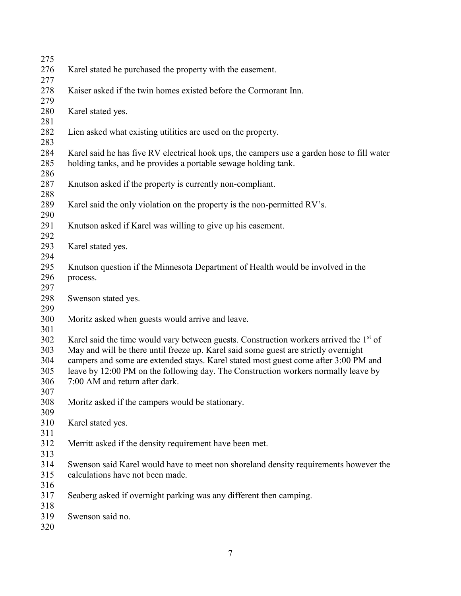| 275        |                                                                                                    |
|------------|----------------------------------------------------------------------------------------------------|
| 276        | Karel stated he purchased the property with the easement.                                          |
| 277        |                                                                                                    |
| 278        | Kaiser asked if the twin homes existed before the Cormorant Inn.                                   |
| 279        |                                                                                                    |
| 280        | Karel stated yes.                                                                                  |
| 281        |                                                                                                    |
| 282        | Lien asked what existing utilities are used on the property.                                       |
| 283        |                                                                                                    |
| 284        | Karel said he has five RV electrical hook ups, the campers use a garden hose to fill water         |
| 285        | holding tanks, and he provides a portable sewage holding tank.                                     |
| 286        |                                                                                                    |
| 287        | Knutson asked if the property is currently non-compliant.                                          |
| 288        |                                                                                                    |
| 289        | Karel said the only violation on the property is the non-permitted RV's.                           |
| 290        |                                                                                                    |
| 291        | Knutson asked if Karel was willing to give up his easement.                                        |
| 292        |                                                                                                    |
| 293        | Karel stated yes.                                                                                  |
| 294        |                                                                                                    |
| 295        | Knutson question if the Minnesota Department of Health would be involved in the                    |
| 296        | process.                                                                                           |
| 297        |                                                                                                    |
| 298        | Swenson stated yes.                                                                                |
| 299        |                                                                                                    |
| 300        | Moritz asked when guests would arrive and leave.                                                   |
| 301<br>302 | Karel said the time would vary between guests. Construction workers arrived the 1 <sup>st</sup> of |
| 303        | May and will be there until freeze up. Karel said some guest are strictly overnight                |
| 304        | campers and some are extended stays. Karel stated most guest come after 3:00 PM and                |
| 305        | leave by 12:00 PM on the following day. The Construction workers normally leave by                 |
| 306        | 7:00 AM and return after dark.                                                                     |
| 307        |                                                                                                    |
| 308        | Moritz asked if the campers would be stationary.                                                   |
| 309        |                                                                                                    |
| 310        | Karel stated yes.                                                                                  |
| 311        |                                                                                                    |
| 312        | Merritt asked if the density requirement have been met.                                            |
| 313        |                                                                                                    |
| 314        | Swenson said Karel would have to meet non shoreland density requirements however the               |
| 315        | calculations have not been made.                                                                   |
| 316        |                                                                                                    |
| 317        | Seaberg asked if overnight parking was any different then camping.                                 |
| 318        |                                                                                                    |
| 319        | Swenson said no.                                                                                   |
| 320        |                                                                                                    |
|            |                                                                                                    |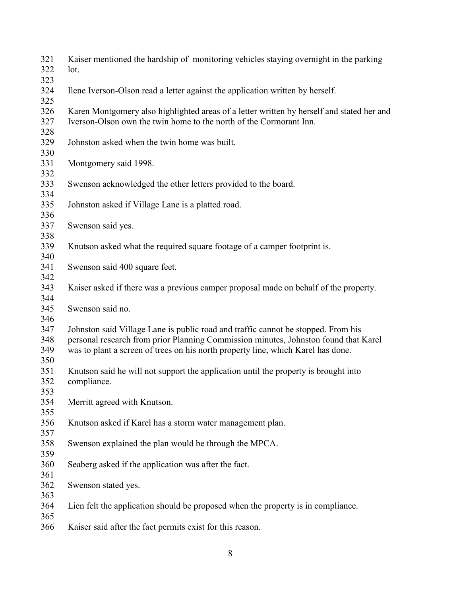| 321<br>322<br>323        | Kaiser mentioned the hardship of monitoring vehicles staying overnight in the parking<br>lot.                                                                                                                                                                |
|--------------------------|--------------------------------------------------------------------------------------------------------------------------------------------------------------------------------------------------------------------------------------------------------------|
| 324<br>325               | Ilene Iverson-Olson read a letter against the application written by herself.                                                                                                                                                                                |
| 326<br>327<br>328        | Karen Montgomery also highlighted areas of a letter written by herself and stated her and<br>Iverson-Olson own the twin home to the north of the Cormorant Inn.                                                                                              |
| 329<br>330               | Johnston asked when the twin home was built.                                                                                                                                                                                                                 |
| 331<br>332               | Montgomery said 1998.                                                                                                                                                                                                                                        |
| 333<br>334               | Swenson acknowledged the other letters provided to the board.                                                                                                                                                                                                |
| 335<br>336               | Johnston asked if Village Lane is a platted road.                                                                                                                                                                                                            |
| 337<br>338               | Swenson said yes.                                                                                                                                                                                                                                            |
| 339<br>340               | Knutson asked what the required square footage of a camper footprint is.                                                                                                                                                                                     |
| 341<br>342               | Swenson said 400 square feet.                                                                                                                                                                                                                                |
| 343<br>344               | Kaiser asked if there was a previous camper proposal made on behalf of the property.                                                                                                                                                                         |
| 345<br>346               | Swenson said no.                                                                                                                                                                                                                                             |
| 347<br>348<br>349<br>350 | Johnston said Village Lane is public road and traffic cannot be stopped. From his<br>personal research from prior Planning Commission minutes, Johnston found that Karel<br>was to plant a screen of trees on his north property line, which Karel has done. |
| 351<br>352<br>353        | Knutson said he will not support the application until the property is brought into<br>compliance.                                                                                                                                                           |
| 354<br>355               | Merritt agreed with Knutson.                                                                                                                                                                                                                                 |
| 356<br>357               | Knutson asked if Karel has a storm water management plan.                                                                                                                                                                                                    |
| 358<br>359               | Swenson explained the plan would be through the MPCA.                                                                                                                                                                                                        |
| 360<br>361               | Seaberg asked if the application was after the fact.                                                                                                                                                                                                         |
| 362<br>363               | Swenson stated yes.                                                                                                                                                                                                                                          |
| 364<br>365               | Lien felt the application should be proposed when the property is in compliance.                                                                                                                                                                             |
| 366                      | Kaiser said after the fact permits exist for this reason.                                                                                                                                                                                                    |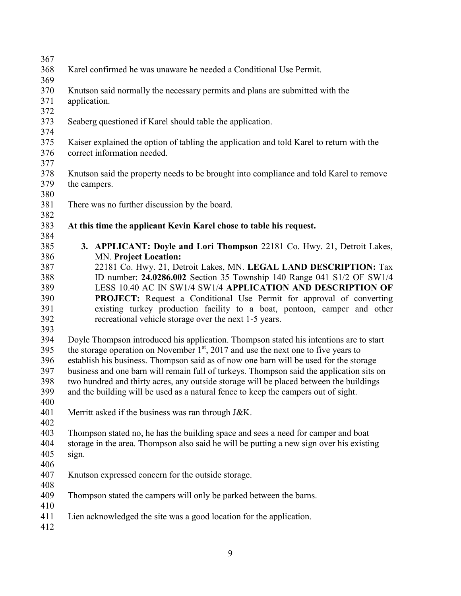Karel confirmed he was unaware he needed a Conditional Use Permit. Knutson said normally the necessary permits and plans are submitted with the application. Seaberg questioned if Karel should table the application. Kaiser explained the option of tabling the application and told Karel to return with the correct information needed. Knutson said the property needs to be brought into compliance and told Karel to remove the campers. There was no further discussion by the board. **At this time the applicant Kevin Karel chose to table his request. 3. APPLICANT: Doyle and Lori Thompson** 22181 Co. Hwy. 21, Detroit Lakes, MN. **Project Location:**  22181 Co. Hwy. 21, Detroit Lakes, MN. **LEGAL LAND DESCRIPTION:** Tax ID number: **24.0286.002** Section 35 Township 140 Range 041 S1/2 OF SW1/4 LESS 10.40 AC IN SW1/4 SW1/4 **APPLICATION AND DESCRIPTION OF PROJECT:** Request a Conditional Use Permit for approval of converting existing turkey production facility to a boat, pontoon, camper and other recreational vehicle storage over the next 1-5 years. Doyle Thompson introduced his application. Thompson stated his intentions are to start

 the storage operation on November  $1<sup>st</sup>$ , 2017 and use the next one to five years to establish his business. Thompson said as of now one barn will be used for the storage 397 business and one barn will remain full of turkeys. Thompson said the application sits on<br>398 two hundred and thirty acres, any outside storage will be placed between the buildings two hundred and thirty acres, any outside storage will be placed between the buildings and the building will be used as a natural fence to keep the campers out of sight.

Merritt asked if the business was ran through J&K.

403 Thompson stated no, he has the building space and sees a need for camper and boat storage in the area. Thompson also said he will be putting a new sign over his existing storage in the area. Thompson also said he will be putting a new sign over his existing sign.

 Knutson expressed concern for the outside storage. 

Thompson stated the campers will only be parked between the barns.

- Lien acknowledged the site was a good location for the application.
-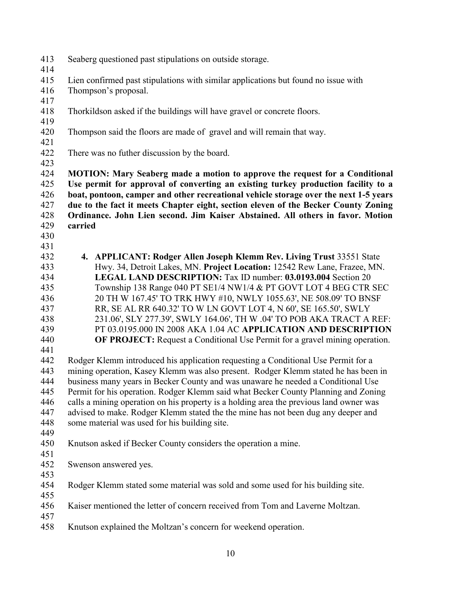- Seaberg questioned past stipulations on outside storage.
- 
- Lien confirmed past stipulations with similar applications but found no issue with
- Thompson's proposal.
- 
- Thorkildson asked if the buildings will have gravel or concrete floors.
- Thompson said the floors are made of gravel and will remain that way.
- There was no futher discussion by the board.
- 

 **MOTION: Mary Seaberg made a motion to approve the request for a Conditional Use permit for approval of converting an existing turkey production facility to a boat, pontoon, camper and other recreational vehicle storage over the next 1-5 years due to the fact it meets Chapter eight, section eleven of the Becker County Zoning Ordinance. John Lien second. Jim Kaiser Abstained. All others in favor. Motion carried** 

- 
- 

 **4. APPLICANT: Rodger Allen Joseph Klemm Rev. Living Trust** 33551 State Hwy. 34, Detroit Lakes, MN. **Project Location:** 12542 Rew Lane, Frazee, MN. **LEGAL LAND DESCRIPTION:** Tax ID number: **03.0193.004** Section 20 Township 138 Range 040 PT SE1/4 NW1/4 & PT GOVT LOT 4 BEG CTR SEC 20 TH W 167.45' TO TRK HWY #10, NWLY 1055.63', NE 508.09' TO BNSF RR, SE AL RR 640.32' TO W LN GOVT LOT 4, N 60', SE 165.50', SWLY 231.06', SLY 277.39', SWLY 164.06', TH W .04' TO POB AKA TRACT A REF: PT 03.0195.000 IN 2008 AKA 1.04 AC **APPLICATION AND DESCRIPTION OF PROJECT:** Request a Conditional Use Permit for a gravel mining operation.

 Rodger Klemm introduced his application requesting a Conditional Use Permit for a mining operation, Kasey Klemm was also present. Rodger Klemm stated he has been in business many years in Becker County and was unaware he needed a Conditional Use Permit for his operation. Rodger Klemm said what Becker County Planning and Zoning calls a mining operation on his property is a holding area the previous land owner was advised to make. Rodger Klemm stated the the mine has not been dug any deeper and some material was used for his building site.

- 
- Knutson asked if Becker County considers the operation a mine.
- 

Swenson answered yes.

- Rodger Klemm stated some material was sold and some used for his building site.
- Kaiser mentioned the letter of concern received from Tom and Laverne Moltzan.
- 
- Knutson explained the Moltzan's concern for weekend operation.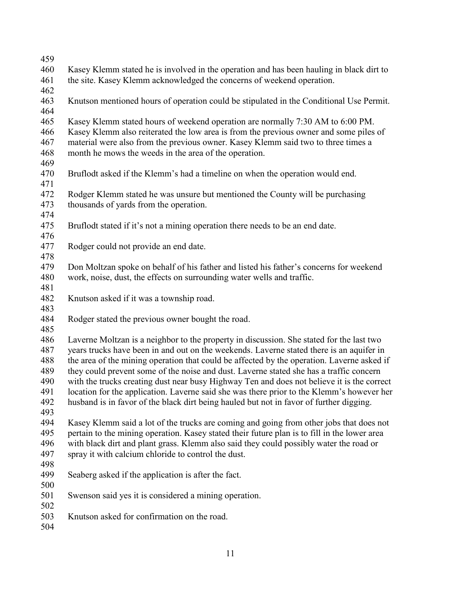| 459 |                                                                                              |
|-----|----------------------------------------------------------------------------------------------|
| 460 | Kasey Klemm stated he is involved in the operation and has been hauling in black dirt to     |
| 461 | the site. Kasey Klemm acknowledged the concerns of weekend operation.                        |
| 462 |                                                                                              |
| 463 | Knutson mentioned hours of operation could be stipulated in the Conditional Use Permit.      |
| 464 |                                                                                              |
| 465 | Kasey Klemm stated hours of weekend operation are normally 7:30 AM to 6:00 PM.               |
| 466 | Kasey Klemm also reiterated the low area is from the previous owner and some piles of        |
| 467 | material were also from the previous owner. Kasey Klemm said two to three times a            |
| 468 | month he mows the weeds in the area of the operation.                                        |
| 469 |                                                                                              |
| 470 | Bruflodt asked if the Klemm's had a timeline on when the operation would end.                |
| 471 |                                                                                              |
| 472 | Rodger Klemm stated he was unsure but mentioned the County will be purchasing                |
| 473 | thousands of yards from the operation.                                                       |
| 474 |                                                                                              |
| 475 | Bruflodt stated if it's not a mining operation there needs to be an end date.                |
| 476 |                                                                                              |
| 477 | Rodger could not provide an end date.                                                        |
| 478 |                                                                                              |
| 479 | Don Moltzan spoke on behalf of his father and listed his father's concerns for weekend       |
| 480 | work, noise, dust, the effects on surrounding water wells and traffic.                       |
| 481 |                                                                                              |
| 482 | Knutson asked if it was a township road.                                                     |
| 483 |                                                                                              |
| 484 | Rodger stated the previous owner bought the road.                                            |
| 485 |                                                                                              |
| 486 | Laverne Moltzan is a neighbor to the property in discussion. She stated for the last two     |
| 487 | years trucks have been in and out on the weekends. Laverne stated there is an aquifer in     |
| 488 | the area of the mining operation that could be affected by the operation. Laverne asked if   |
| 489 | they could prevent some of the noise and dust. Laverne stated she has a traffic concern      |
| 490 | with the trucks creating dust near busy Highway Ten and does not believe it is the correct   |
| 491 | location for the application. Laverne said she was there prior to the Klemm's however her    |
| 492 | husband is in favor of the black dirt being hauled but not in favor of further digging.      |
| 493 |                                                                                              |
| 494 | Kasey Klemm said a lot of the trucks are coming and going from other jobs that does not      |
| 495 | pertain to the mining operation. Kasey stated their future plan is to fill in the lower area |
| 496 | with black dirt and plant grass. Klemm also said they could possibly water the road or       |
| 497 | spray it with calcium chloride to control the dust.                                          |
| 498 |                                                                                              |
| 499 | Seaberg asked if the application is after the fact.                                          |
| 500 |                                                                                              |
| 501 | Swenson said yes it is considered a mining operation.                                        |
| 502 |                                                                                              |
| 503 | Knutson asked for confirmation on the road.                                                  |
| 504 |                                                                                              |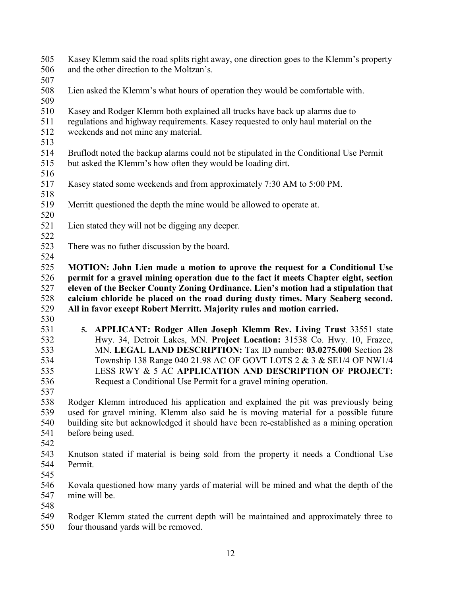| 505<br>506 | Kasey Klemm said the road splits right away, one direction goes to the Klemm's property<br>and the other direction to the Moltzan's. |
|------------|--------------------------------------------------------------------------------------------------------------------------------------|
| 507        |                                                                                                                                      |
| 508        | Lien asked the Klemm's what hours of operation they would be comfortable with.                                                       |
| 509        |                                                                                                                                      |
| 510        | Kasey and Rodger Klemm both explained all trucks have back up alarms due to                                                          |
| 511        | regulations and highway requirements. Kasey requested to only haul material on the                                                   |
| 512<br>513 | weekends and not mine any material.                                                                                                  |
| 514        | Bruflodt noted the backup alarms could not be stipulated in the Conditional Use Permit                                               |
| 515        | but asked the Klemm's how often they would be loading dirt.                                                                          |
| 516        |                                                                                                                                      |
| 517        | Kasey stated some weekends and from approximately 7:30 AM to 5:00 PM.                                                                |
| 518        |                                                                                                                                      |
| 519        | Merritt questioned the depth the mine would be allowed to operate at.                                                                |
| 520        |                                                                                                                                      |
| 521        | Lien stated they will not be digging any deeper.                                                                                     |
| 522        |                                                                                                                                      |
| 523        | There was no futher discussion by the board.                                                                                         |
| 524        |                                                                                                                                      |
| 525        | MOTION: John Lien made a motion to aprove the request for a Conditional Use                                                          |
| 526        | permit for a gravel mining operation due to the fact it meets Chapter eight, section                                                 |
| 527        | eleven of the Becker County Zoning Ordinance. Lien's motion had a stipulation that                                                   |
| 528        | calcium chloride be placed on the road during dusty times. Mary Seaberg second.                                                      |
| 529        | All in favor except Robert Merritt. Majority rules and motion carried.                                                               |
| 530        |                                                                                                                                      |
| 531        | 5. APPLICANT: Rodger Allen Joseph Klemm Rev. Living Trust 33551 state                                                                |
| 532        | Hwy. 34, Detroit Lakes, MN. Project Location: 31538 Co. Hwy. 10, Frazee,                                                             |
| 533        | MN. LEGAL LAND DESCRIPTION: Tax ID number: 03.0275.000 Section 28                                                                    |
| 534        | Township 138 Range 040 21.98 AC OF GOVT LOTS 2 & 3 & SE1/4 OF NW1/4                                                                  |
| 535        | LESS RWY & 5 AC APPLICATION AND DESCRIPTION OF PROJECT:                                                                              |
| 536        | Request a Conditional Use Permit for a gravel mining operation.                                                                      |
| 537        |                                                                                                                                      |
| 538        | Rodger Klemm introduced his application and explained the pit was previously being                                                   |
| 539        | used for gravel mining. Klemm also said he is moving material for a possible future                                                  |
| 540        | building site but acknowledged it should have been re-established as a mining operation                                              |
| 541        | before being used.                                                                                                                   |
| 542        |                                                                                                                                      |
| 543        | Knutson stated if material is being sold from the property it needs a Condtional Use                                                 |
| 544        | Permit.                                                                                                                              |
| 545        |                                                                                                                                      |
| 546        | Kovala questioned how many yards of material will be mined and what the depth of the                                                 |
| 547        | mine will be.                                                                                                                        |
| 548        |                                                                                                                                      |
| 549<br>550 | Rodger Klemm stated the current depth will be maintained and approximately three to<br>four thousand yards will be removed.          |
|            |                                                                                                                                      |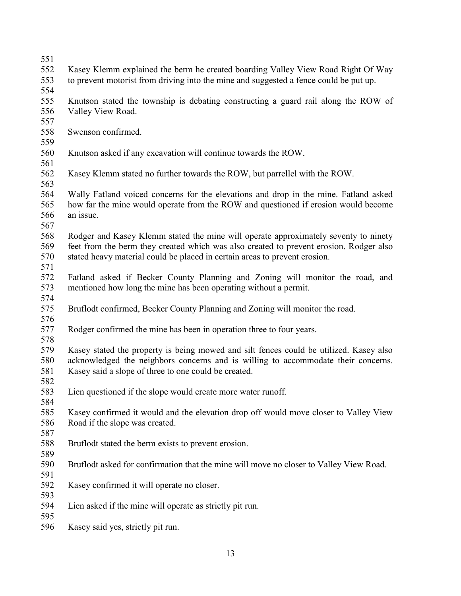- 
- Kasey Klemm explained the berm he created boarding Valley View Road Right Of Way
- to prevent motorist from driving into the mine and suggested a fence could be put up.
- 
- Knutson stated the township is debating constructing a guard rail along the ROW of Valley View Road.
- Swenson confirmed.
- 
- Knutson asked if any excavation will continue towards the ROW.
- 
- Kasey Klemm stated no further towards the ROW, but parrellel with the ROW.
- Wally Fatland voiced concerns for the elevations and drop in the mine. Fatland asked how far the mine would operate from the ROW and questioned if erosion would become an issue.
- 
- Rodger and Kasey Klemm stated the mine will operate approximately seventy to ninety feet from the berm they created which was also created to prevent erosion. Rodger also stated heavy material could be placed in certain areas to prevent erosion.
- Fatland asked if Becker County Planning and Zoning will monitor the road, and mentioned how long the mine has been operating without a permit.
- 
- Bruflodt confirmed, Becker County Planning and Zoning will monitor the road.
- Rodger confirmed the mine has been in operation three to four years.
- 

 Kasey stated the property is being mowed and silt fences could be utilized. Kasey also acknowledged the neighbors concerns and is willing to accommodate their concerns. Kasey said a slope of three to one could be created.

- Lien questioned if the slope would create more water runoff.
- Kasey confirmed it would and the elevation drop off would move closer to Valley View Road if the slope was created.
- 

- Bruflodt stated the berm exists to prevent erosion.
- Bruflodt asked for confirmation that the mine will move no closer to Valley View Road.
- Kasey confirmed it will operate no closer.
- Lien asked if the mine will operate as strictly pit run.
- 

Kasey said yes, strictly pit run.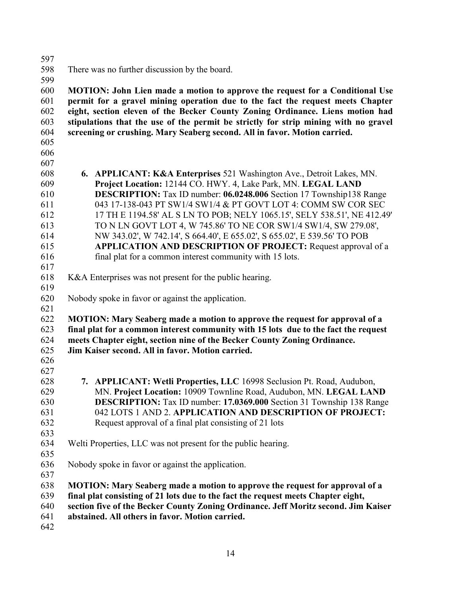There was no further discussion by the board.

 **MOTION: John Lien made a motion to approve the request for a Conditional Use permit for a gravel mining operation due to the fact the request meets Chapter eight, section eleven of the Becker County Zoning Ordinance. Liens motion had stipulations that the use of the permit be strictly for strip mining with no gravel screening or crushing. Mary Seaberg second. All in favor. Motion carried.** 

- 
- **6. APPLICANT: K&A Enterprises** 521 Washington Ave., Detroit Lakes, MN. **Project Location:** 12144 CO. HWY. 4, Lake Park, MN. **LEGAL LAND DESCRIPTION:** Tax ID number: **06.0248.006** Section 17 Township138 Range 043 17-138-043 PT SW1/4 SW1/4 & PT GOVT LOT 4: COMM SW COR SEC 17 TH E 1194.58' AL S LN TO POB; NELY 1065.15', SELY 538.51', NE 412.49' TO N LN GOVT LOT 4, W 745.86' TO NE COR SW1/4 SW1/4, SW 279.08', NW 343.02', W 742.14', S 664.40', E 655.02', S 655.02', E 539.56' TO POB **APPLICATION AND DESCRIPTION OF PROJECT:** Request approval of a final plat for a common interest community with 15 lots.
- K&A Enterprises was not present for the public hearing.
- 

- Nobody spoke in favor or against the application.
- **MOTION: Mary Seaberg made a motion to approve the request for approval of a final plat for a common interest community with 15 lots due to the fact the request meets Chapter eight, section nine of the Becker County Zoning Ordinance. Jim Kaiser second. All in favor. Motion carried.**
- 
- 
- **7. APPLICANT: Wetli Properties, LLC** 16998 Seclusion Pt. Road, Audubon, MN. **Project Location:** 10909 Townline Road, Audubon, MN. **LEGAL LAND DESCRIPTION:** Tax ID number: **17.0369.000** Section 31 Township 138 Range 042 LOTS 1 AND 2. **APPLICATION AND DESCRIPTION OF PROJECT:**  Request approval of a final plat consisting of 21 lots
- Welti Properties, LLC was not present for the public hearing.
- 
- Nobody spoke in favor or against the application.
- 

- **MOTION: Mary Seaberg made a motion to approve the request for approval of a**
- **final plat consisting of 21 lots due to the fact the request meets Chapter eight,**
- **section five of the Becker County Zoning Ordinance. Jeff Moritz second. Jim Kaiser**
- **abstained. All others in favor. Motion carried.**
-